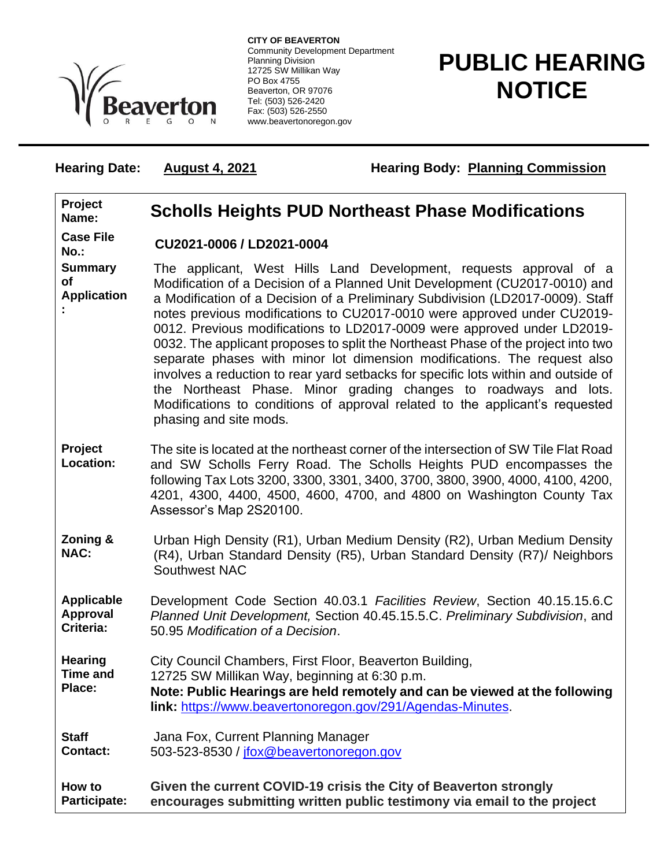

**CITY OF BEAVERTON** Community Development Department Planning Division 12725 SW Millikan Way PO Box 4755 Beaverton, OR 97076 Tel: (503) 526-2420 Fax: (503) 526-2550 www.beavertonoregon.gov

## **PUBLIC HEARING NOTICE**

**Hearing Date: August 4, 2021 Hearing Body: Planning Commission** 

## **Project Name: Scholls Heights PUD Northeast Phase Modifications Case File No.: CU2021-0006 / LD2021-0004 Summary of Application :** The applicant, West Hills Land Development, requests approval of a Modification of a Decision of a Planned Unit Development (CU2017-0010) and a Modification of a Decision of a Preliminary Subdivision (LD2017-0009). Staff notes previous modifications to CU2017-0010 were approved under CU2019- 0012. Previous modifications to LD2017-0009 were approved under LD2019- 0032. The applicant proposes to split the Northeast Phase of the project into two separate phases with minor lot dimension modifications. The request also involves a reduction to rear yard setbacks for specific lots within and outside of the Northeast Phase. Minor grading changes to roadways and lots. Modifications to conditions of approval related to the applicant's requested phasing and site mods. **Project Location:** The site is located at the northeast corner of the intersection of SW Tile Flat Road and SW Scholls Ferry Road. The Scholls Heights PUD encompasses the following Tax Lots 3200, 3300, 3301, 3400, 3700, 3800, 3900, 4000, 4100, 4200, 4201, 4300, 4400, 4500, 4600, 4700, and 4800 on Washington County Tax Assessor's Map 2S20100. **Zoning & NAC:** Urban High Density (R1), Urban Medium Density (R2), Urban Medium Density (R4), Urban Standard Density (R5), Urban Standard Density (R7)/ Neighbors Southwest NAC **Applicable Approval Criteria:** Development Code Section 40.03.1 *Facilities Review*, Section 40.15.15.6.C *Planned Unit Development,* Section 40.45.15.5.C. *Preliminary Subdivision*, and 50.95 *Modification of a Decision*. **Hearing Time and Place:** City Council Chambers, First Floor, Beaverton Building, 12725 SW Millikan Way, beginning at 6:30 p.m. **Note: Public Hearings are held remotely and can be viewed at the following link:** [https://www.beavertonoregon.gov/291/Agendas-Minutes.](https://www.beavertonoregon.gov/291/Agendas-Minutes) **Staff Contact:** Jana Fox, Current Planning Manager 503-523-8530 / [jfox@beavertonoregon.gov](mailto:jfox@beavertonoregon.gov) **How to Participate: Given the current COVID-19 crisis the City of Beaverton strongly encourages submitting written public testimony via email to the project**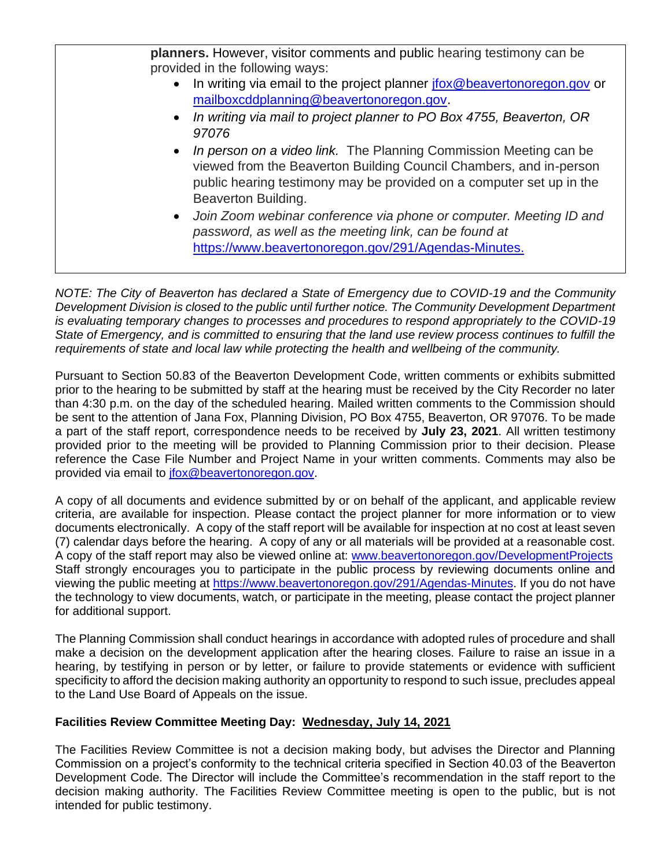**planners.** However, visitor comments and public hearing testimony can be provided in the following ways: • In writing via email to the project planner *ifox@beavertonoregon.gov* or [mailboxcddplanning@beavertonoregon.gov.](mailto:mailboxcddplanning@beavertonoregon.gov) • *In writing via mail to project planner to PO Box 4755, Beaverton, OR 97076*  • *In person on a video link.* The Planning Commission Meeting can be viewed from the Beaverton Building Council Chambers, and in-person public hearing testimony may be provided on a computer set up in the Beaverton Building. • *Join Zoom webinar conference via phone or computer. Meeting ID and password, as well as the meeting link, can be found at*  [https://www.beavertonoregon.gov/291/Agendas-Minutes.](https://www.beavertonoregon.gov/291/Agendas-Minutes)

*NOTE: The City of Beaverton has declared a State of Emergency due to COVID-19 and the Community Development Division is closed to the public until further notice. The Community Development Department is evaluating temporary changes to processes and procedures to respond appropriately to the COVID-19 State of Emergency, and is committed to ensuring that the land use review process continues to fulfill the requirements of state and local law while protecting the health and wellbeing of the community.*

Pursuant to Section 50.83 of the Beaverton Development Code, written comments or exhibits submitted prior to the hearing to be submitted by staff at the hearing must be received by the City Recorder no later than 4:30 p.m. on the day of the scheduled hearing. Mailed written comments to the Commission should be sent to the attention of Jana Fox, Planning Division, PO Box 4755, Beaverton, OR 97076. To be made a part of the staff report, correspondence needs to be received by **July 23, 2021**. All written testimony provided prior to the meeting will be provided to Planning Commission prior to their decision. Please reference the Case File Number and Project Name in your written comments. Comments may also be provided via email to [jfox@beavertonoregon.gov.](mailto:jfox@beavertonoregon.gov)

A copy of all documents and evidence submitted by or on behalf of the applicant, and applicable review criteria, are available for inspection. Please contact the project planner for more information or to view documents electronically. A copy of the staff report will be available for inspection at no cost at least seven (7) calendar days before the hearing. A copy of any or all materials will be provided at a reasonable cost. A copy of the staff report may also be viewed online at: [www.beavertonoregon.gov/DevelopmentProjects](http://www.beavertonoregon.gov/DevelopmentProjects) Staff strongly encourages you to participate in the public process by reviewing documents online and viewing the public meeting at [https://www.beavertonoregon.gov/291/Agendas-Minutes.](https://www.beavertonoregon.gov/291/Agendas-Minutes) If you do not have the technology to view documents, watch, or participate in the meeting, please contact the project planner for additional support.

The Planning Commission shall conduct hearings in accordance with adopted rules of procedure and shall make a decision on the development application after the hearing closes. Failure to raise an issue in a hearing, by testifying in person or by letter, or failure to provide statements or evidence with sufficient specificity to afford the decision making authority an opportunity to respond to such issue, precludes appeal to the Land Use Board of Appeals on the issue.

## **Facilities Review Committee Meeting Day: Wednesday, July 14, 2021**

The Facilities Review Committee is not a decision making body, but advises the Director and Planning Commission on a project's conformity to the technical criteria specified in Section 40.03 of the Beaverton Development Code. The Director will include the Committee's recommendation in the staff report to the decision making authority. The Facilities Review Committee meeting is open to the public, but is not intended for public testimony.